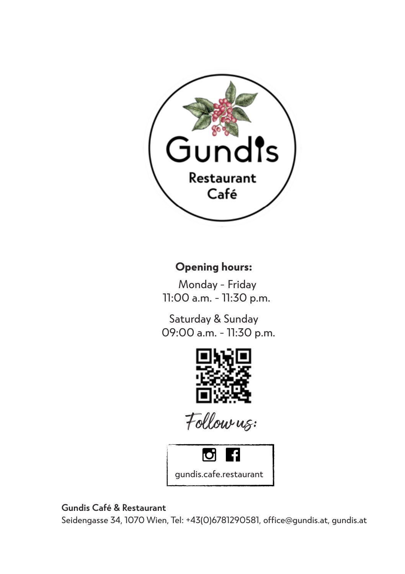

## **Opening hours:**

Monday - Friday 11:00 a.m. - 11:30 p.m.

Saturday & Sunday 09:00 a.m. - 11:30 p.m.



Follow us:



## **Gundis Café & Restaurant**

Seidengasse 34, 1070 Wien, Tel: +43(0)6781290581, office@gundis.at, gundis.at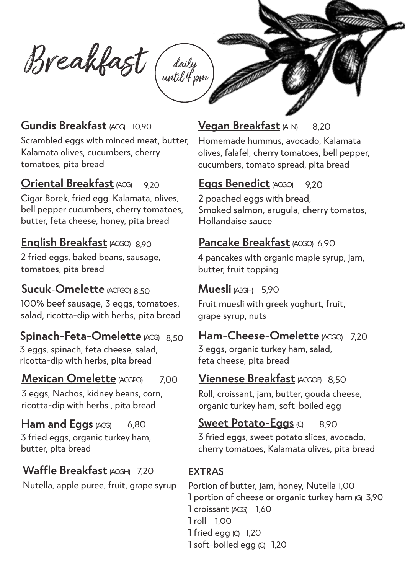Breakfast daily until 4 pm

# **Gundis Breakfast** (ACG) 10,90

Scrambled eggs with minced meat, butter, Kalamata olives, cucumbers, cherry tomatoes, pita bread 10,90<br>d meat,<br>cherry,<br>9,20

### **Oriental Breakfast** (ACG) 8,20

Cigar Borek, fried egg, Kalamata, olives, bell pepper cucumbers, cherry tomatoes, butter, feta cheese, honey, pita bread

## **English Breakfast** (ACGO) 8,90

2 fried eggs, baked beans, sausage, tomatoes, pita bread

## **Sucuk-Omelette** (ACFGO) 7,20 8,50

100% beef sausage, 3 eggs, tomatoes, salad, ricotta-dip with herbs, pita bread

## **Spinach-Feta-Omelette** (ACG) 8,50

3 eggs, spinach, feta cheese, salad, ricotta-dip with herbs, pita bread

#### **Mexican Omelette** (ACGPO) 7,00

3 eggs, Nachos, kidney beans, corn, ricotta-dip with herbs , pita bread

## **Ham and Eggs** (ACG)

3 fried eggs, organic turkey ham, butter, pita bread

## **Waffle Breakfast**(ACGH) 7,20

Nutella, apple puree, fruit, grape syrup

### **Vegan Breakfast** (ALN) 8,20

Homemade hummus, avocado, Kalamata olives, falafel, cherry tomatoes, bell pepper, cucumbers, tomato spread, pita bread

## **Eggs Benedict** (ACGO) 9,20

2 poached eggs with bread. Smoked salmon, arugula, cherry tomatos, Hollandaise sauce

## 8,90 **Pancake Breakfast** (ACGO) 6,90

4 pancakes with organic maple syrup, jam, butter, fruit topping

## **Muesli** (AEGH) 5,90

Fruit muesli with greek yoghurt, fruit, grape syrup, nuts

### 50 | **Ham-Cheese-Omelette** (ACGO) 7,20 3 eggs, organic turkey ham, salad, feta cheese, pita bread

# **Viennese Breakfast**(ACGOF) 8,50

Roll, croissant, jam, butter, gouda cheese, organic turkey ham, soft-boiled egg

# **Sweet Potato-Eggs** (C) 8,90

3 fried eggs, sweet potato slices, avocado, cherry tomatoes, Kalamata olives, pita bread

## **EXTRAS**

Portion of butter, jam, honey, Nutella 1,00 1 portion of cheese or organic turkey ham (G) 3,90 1 croissant (ACG) 1,60 1 roll 1,00 1 fried egg (C) 1,20 1 soft-boiled egg (C) 1.20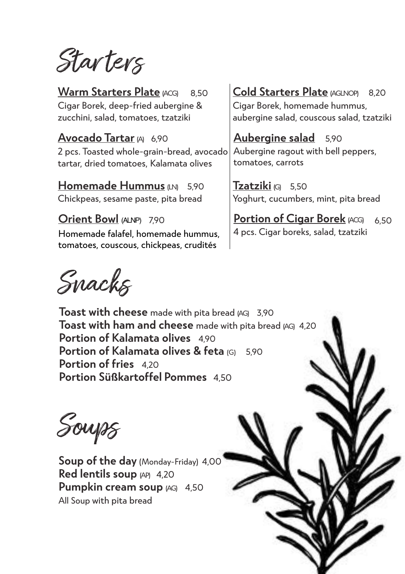Star ters

**Warm Starters Plate (ACG)** Cigar Borek, deep-fried aubergine & zucchini, salad, tomatoes, tzatziki

**Avocado Tartar** (A) 6,90 2 pcs. Toasted whole-grain-bread, avocado tartar, dried tomatoes, Kalamata olives

**Homemade Hummus** (LN) 5.90 Chickpeas, sesame paste, pita bread

**Orient Bowl** (ALNP) 7,90 Homemade falafel, homemade hummus, tomatoes, couscous, chickpeas, crudités

# 8,50 **Cold Starters Plate** (AGLNOP) 8,20

Cigar Borek, homemade hummus, aubergine salad, couscous salad, tzatziki

**Aubergine salad** 5,90 Aubergine ragout with bell peppers, tomatoes, carrots

5,90 **Tzatziki** (G) 5,50 Yoghurt, cucumbers, mint, pita bread

> **Portion of Cigar Borek** (ACG) 4 pcs. Cigar boreks, salad, tzatziki 6,50

Snacks

**Toast with cheese** made with pita bread (AG) 3,90 **Toast with ham and cheese** made with pita bread (AG) 4.20 **Portion of Kalamata olives** 4,90 **Portion of Kalamata olives & feta (G)** 590 **Portion of fries** 420 **Portion Süßkartoffel Pommes** 4,50

Soups

**Soup of the day** (Monday-Friday) 4,00 **Red lentils soup**  $APQ$  4,20 **Pumpkin cream soup** (AG) 4,50 All Soup with pita bread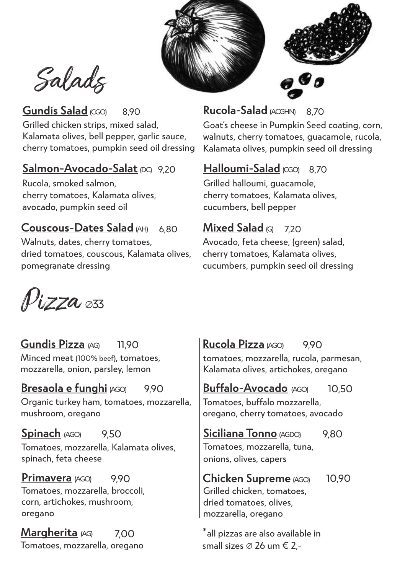



Salads

## Gundis Salad (CGO) Grilled chicken strips, mixed salad, Kalamata olives, bell pepper, garlic sauce, cherry tomatoes, pumpkin seed oil dressing

# **Salmon-Avocado-Salat**(DC) 9,20

Rucola, smoked salmon, cherry tomatoes, Kalamata olives, avocado, pumpkin seed oil

**Couscous-Dates Salad** (AH) Walnuts, dates, cherry tomatoes, dried tomatoes, couscous, Kalamata olives, pomegranate dressing 6,80

# 8,90 **Rucola-Salad** (ACGHN) 8,70

Goat's cheese in Pumpkin Seed coating, corn, walnuts, cherry tomatoes, guacamole, rucola, Kalamata olives, pumpkin seed oil dressing

# **Halloumi-Salad** (CGO) 8,70

Grilled halloumi, guacamole, cherry tomatoes, Kalamata olives, cucumbers, bell pepper

# **Mixed Salad** (G) 7,20

Avocado, feta cheese, (green) salad, cherry tomatoes, Kalamata olives, cucumbers, pumpkin seed oil dressing

 $\rho_{\rm{uZZ}}$   $_{\rm{\alpha\beta3}}$ 

**Gundis Pizza** (AG) Minced meat (100% beef), tomatoes, mozzarella, onion, parsley, lemon 11,90

**Bresaola e funghi** (AGO) 9,90 Organic turkey ham, tomatoes, mozzarella, mushroom, oregano

**Spinach** (AGO) Tomatoes, mozzarella, Kalamata olives, spinach, feta cheese 9,50

**Primavera** (AGO) 990 Tomatoes, mozzarella, broccoli, corn, artichokes, mushroom, oregano

7,00 Tomatoes, mozzarella, oregano  $M$ **argherita**  $\mu$ G  $\mu$  7.00  $\mu$  all pizzas are also available in

### **Rucola Pizza** (AGO) 9,90

tomatoes, mozzarella, rucola, parmesan, Kalamata olives, artichokes, oregano

### **Buffalo-Avocado** (AGO) 10,50

Tomatoes, buffalo mozzarella, oregano, cherry tomatoes, avocado

**Siciliana Tonno** (AGDO) 9,80

Tomatoes, mozzarella, tuna, onions, olives, capers

**Chicken Supreme** (AGO) Grilled chicken, tomatoes, dried tomatoes, olives, mozzarella, oregano 10,90

small sizes ∅ 26 um € 2,-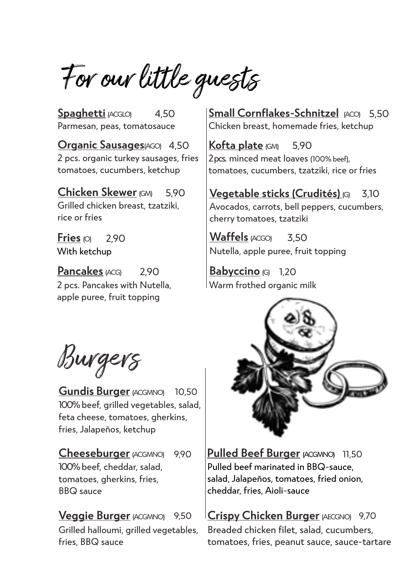For our little guests

4,50 Parmesan, peas, tomatosauce **Spaghetti** (ACGLO)

4,50 **Organic Sausages**(AGO) 2 pcs. organic turkey sausages, fries tomatoes, cucumbers, ketchup

5,90 Grilled chicken breast, tzatziki, rice or fries

Fries  $\omega$  290 With ketchup

**Pancakes** (ACG) 2,90 2 pcs. Pancakes with Nutella, apple puree, fruit topping

**Small Cornflakes-Schnitzel** (ACO) 5,50 Chicken breast, homemade fries, ketchup

5,90 2 pcs. minced meat loaves (100% beef), tomatoes, cucumbers, tzatziki, rice or fries **Kofta plate** (GM)

**Chicken Skewer** (GM) 3,10 **Vegetable sticks (Crudités)** (G) Avocados, carrots, bell peppers, cucumbers, cherry tomatoes, tzatziki

> **Waffels** (ACGO) 3,50 Nutella, apple puree, fruit topping

**Babyccino** (G) 1.20 Warm frothed organic milk

Burgers

**Gundis Burger** (ACGMNO) 10,50 100% beef, grilled vegetables, salad, feta cheese, tomatoes, gherkins, fries, Jalapeños, ketchup

**Cheeseburger** (ACGMNO) 9,90

100% beef, cheddar, salad, tomatoes, gherkins, fries, BBQ sauce

**Veggie Burger** (ACGMNO) 9,50

Grilled halloumi, grilled vegetables, fries, BBQ sauce



**Pulled Beef Burger** (ACGMNO) 11,50 Pulled beef marinated in BBQ-sauce, salad, Jalapeños, tomatoes, fried onion, cheddar, fries, Aioli-sauce

9,50 **Crispy Chicken Burger** (AECGNO) 9,70 Breaded chicken filet, salad, cucumbers, tomatoes, fries, peanut sauce, sauce-tartare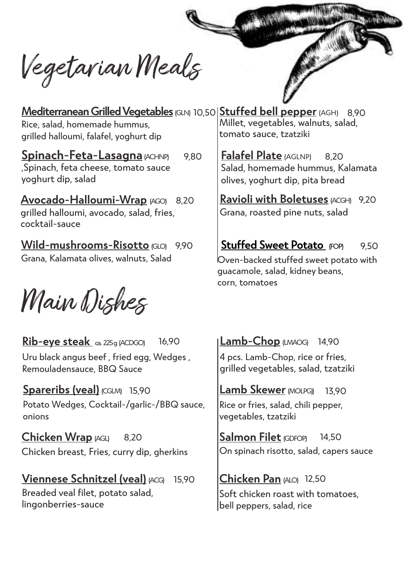Vegetarian Meals

**Mediterranean Grilled Vegetables** (GLN) 10,50 **Stuffed bell pepper** (AGH) 8,90 Rice, salad, homemade hummus, grilled halloumi, falafel, yoghurt dip Millet, vegetables, walnuts, salad, tomato sauce, tzatziki

,Spinach, feta cheese, tomato sauce yoghurt dip, salad **Spinach-Feta-Lasagna**  $ACHNP$  9.80

8,20 **Avocado-Halloumi-Wrap** (AGO) grilled halloumi, avocado, salad, fries, cocktail-sauce

**Wild-mushrooms-Risotto** (GLO) 9,90 Grana, Kalamata olives, walnuts, Salad

Main Dishes

**Rib-eye steak** ca. 225g (ACDGO) Uru black angus beef , fried egg, Wedges , Remouladensauce, BBQ Sauce 16,90

Spareribs (veal) (CGLM) 15,90 Potato Wedges, Cocktail-/garlic-/BBQ sauce, onions

**Chicken Wrap** (AGL) Chicken breast, Fries, curry dip, gherkins 8,20

**Viennese Schnitzel (veal)** (ACG) 15,90 Breaded veal filet, potato salad, lingonberries-sauce

**Falafel Plate** (AGLNP) Salad, homemade hummus, Kalamata olives, yoghurt dip, pita bread 8,20

**Ravioli with Boletuses** (ACGH) 9,20 Grana, roasted pine nuts, salad

### **Stuffed Sweet Potato** FOPI 9,50

Oven-backed stuffed sweet potato with guacamole, salad, kidney beans, corn, tomatoes

**Lamb-Chop** (LMAOG) 14,90 4 pcs. Lamb-Chop, rice or fries, grilled vegetables, salad, tzatziki

**Lamb Skewer** (MOLPG)) 13,90 Rice or fries, salad, chili pepper, vegetables, tzatziki

Salmon Filet (GDFOP) 14,50 On spinach risotto, salad, capers sauce

**Chicken Pan** (ALO) 12,50 Soft chicken roast with tomatoes, bell peppers, salad, rice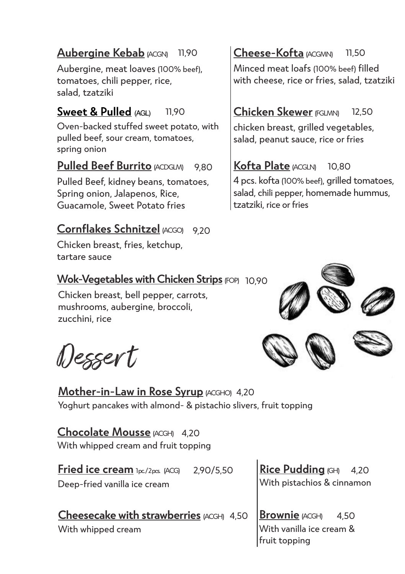### **Aubergine Kebab (ACGN)** 11,90

Aubergine, meat loaves (100% beef), tomatoes, chili pepper, rice, salad, tzatziki

### **Sweet & Pulled** (AGL) 11,90

Oven-backed stuffed sweet potato, with pulled beef, sour cream, tomatoes, spring onion

### **Pulled Beef Burrito** (ACDGLM) 9,80

Pulled Beef, kidney beans, tomatoes, Spring onion, Jalapenos, Rice, Guacamole, Sweet Potato fries

# **Cornflakes Schnitzel** (ACGO) 9,20

Chicken breast, fries, ketchup, tartare sauce

## **Wok-Vegetables with Chicken Strips** (FOP) 10,90

Chicken breast, bell pepper, carrots, mushrooms, aubergine, broccoli, zucchini, rice

Desser t

**Mother-in-Law in Rose Syrup** (ACGHO) 4,20 Yoghurt pancakes with almond- & pistachio slivers, fruit topping

**Chocolate Mousse** (ACGH) 4,20 With whipped cream and fruit topping

**Fried ice cream** 1pc/2pcs. (ACG) 2,90/5,50 Deep-fried vanilla ice cream

**Cheesecake with strawberries**  $AGGH$  4,50

With whipped cream

**Cheese-Kofta** (ACGMN) Minced meat loafs (100% beef) filled with cheese, rice or fries, salad, tzatziki 11,50

### **Chicken Skewer** (FGLMN) 12,50

chicken breast, grilled vegetables, salad, peanut sauce, rice or fries

# **Kofta Plate** (ACGLN) 10,80 4 pcs. kofta (100% beef), grilled tomatoes,

salad, chili pepper, homemade hummus, tzatziki, rice or fries



**Rice Pudding** (GH) With pistachios & cinnamon 4,20

**Brownie** (ACGH) With vanilla ice cream & fruit topping 4,50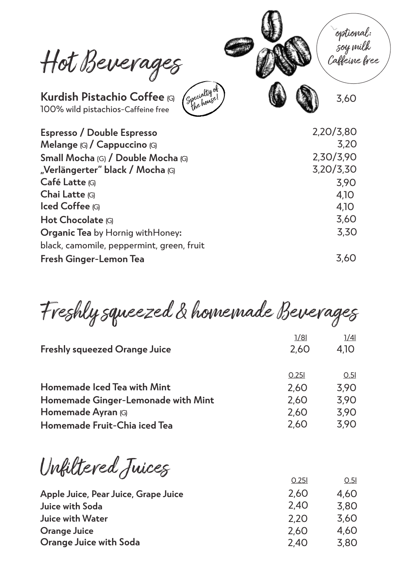Hot Beverages



**Kurdish Pistachio Coffee** (G) 100% wild pistachios-Caffeine free

Specialty of the house!

| Espresso / Double Espresso                | 2,20/3,80 |
|-------------------------------------------|-----------|
| Melange (G) / Cappuccino (G)              | 3,20      |
| Small Mocha (G) / Double Mocha (G)        | 2,30/3,90 |
| "Verlängerter" black / Mocha (G)          | 3,20/3,30 |
| Café Latte (G)                            | 3,90      |
| Chai Latte (G)                            | 4,10      |
| lced Coffee (G)                           | 4,10      |
| Hot Chocolate (G)                         | 3,60      |
| Organic Tea by Hornig withHoney:          | 3,30      |
| black, camomile, peppermint, green, fruit |           |
| Fresh Ginger-Lemon Tea                    | 3.60      |

Freshly squeezed & homemade Beverages

|                                      | 1/81  | 1/41 |
|--------------------------------------|-------|------|
| <b>Freshly squeezed Orange Juice</b> | 2,60  | 4,10 |
|                                      |       |      |
|                                      | 0.251 | 0.51 |
| <b>Homemade Iced Tea with Mint</b>   | 2,60  | 3,90 |
| Homemade Ginger-Lemonade with Mint   | 2,60  | 3,90 |
| Homemade Ayran (G)                   | 2,60  | 3,90 |
| Homemade Fruit-Chia iced Tea         | 2,60  | 3,90 |
|                                      |       |      |

Unfiltered Juices 0.25l 0.5l

|                                      | U.ZJI | וט.ט |
|--------------------------------------|-------|------|
| Apple Juice, Pear Juice, Grape Juice | 2.60  | 4.60 |
| Juice with Soda                      | 2,40  | 3.80 |
| Juice with Water                     | 2.20  | 3.60 |
| Orange Juice                         | 2.60  | 4.60 |
| Orange Juice with Soda               | 2.40  | 3.80 |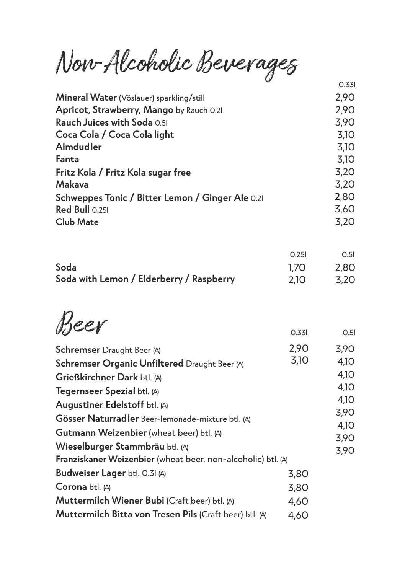Non-Alcoholic Beverages

| v<br>0.331                                               |
|----------------------------------------------------------|
| 2,90                                                     |
| 2,90                                                     |
| 3,90                                                     |
| 3,10                                                     |
| 3,10                                                     |
| 3,10                                                     |
| 3,20                                                     |
| 3,20                                                     |
| 2,80<br>Schweppes Tonic / Bitter Lemon / Ginger Ale 0.21 |
| 3,60                                                     |
| 3,20                                                     |
|                                                          |

|                                          | 0.251 | 0.51 |
|------------------------------------------|-------|------|
| Soda                                     | 1.70  | 2.80 |
| Soda with Lemon / Elderberry / Raspberry | 2.10  | 3.20 |

 $Beer$  0.33l 0.5l

| <b>Schremser</b> Draught Beer (A)                              | 2,90 | 3,90         |
|----------------------------------------------------------------|------|--------------|
| Schremser Organic Unfiltered Draught Beer (A)                  | 3,10 | 4.10         |
| Grießkirchner Dark btl. (A)                                    |      | 4,10         |
| Tegernseer Spezial btl. (A)                                    |      | 4,10         |
| Augustiner Edelstoff btl. (A)                                  |      | 4,10         |
|                                                                |      | 3,90         |
| Gösser Naturradler Beer-lemonade-mixture btl. (A)              |      |              |
| <b>Gutmann Weizenbier</b> (wheat beer) btl. (A)                |      | 4,10<br>3,90 |
| Wieselburger Stammbräu btl. (A)                                |      | 3,90         |
| Franziskaner Weizenbier (wheat beer, non-alcoholic) btl. (A)   |      |              |
| Budweiser Lager btl. 0.31 (A)                                  | 3,80 |              |
| Corona btl. (A)                                                | 3,80 |              |
| Muttermilch Wiener Bubi (Craft beer) btl. (A)                  | 4,60 |              |
| <b>Muttermilch Bitta von Tresen Pils (Craft beer) btl. (A)</b> | 4,60 |              |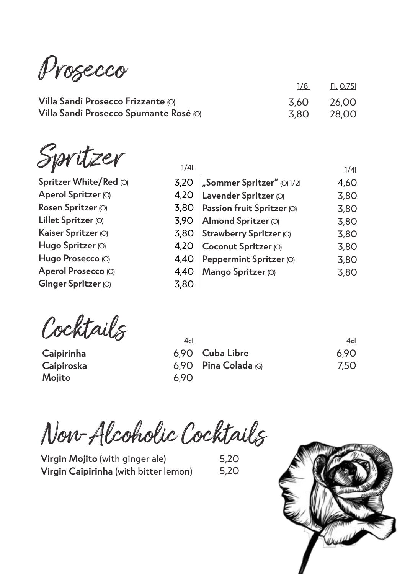Prosecco

**Villa Sandi Prosecco Frizzante** (O) **Villa Sandi Prosecco Spumante Rosé** (O)

Spritzer

**Spritzer White/Red** (O) **Aperol Spritzer** (O) **Rosen Spritzer** (O) **Lillet Spritzer** (O) **Kaiser Spritzer** (O) **Hugo Spritzer** (O) **Hugo Prosecco** (O) **Aperol Prosecco** (O) **Ginger Spritzer** (O)

| 1/41             |                            | 1/41 |
|------------------|----------------------------|------|
| 3,20             | Sommer Spritzer" (O) 1/21  | 4.60 |
| 4,20             | Lavender Spritzer (O)      | 3,80 |
| 3,80             | Passion fruit Spritzer (O) | 3,80 |
| 3,90             | Almond Spritzer (O)        | 3,80 |
| 3,80             | Strawberry Spritzer (O)    | 3,80 |
| 4,20             | Coconut Spritzer (O)       | 3,80 |
| 4,40             | Peppermint Spritzer (O)    | 3,80 |
| 4,40             | Mango Spritzer (O)         | 3,80 |
| 3.8 <sub>C</sub> |                            |      |

1/8l 3,60 3,80 Fl. 0.75l 26,00 28,00

Cocktails

**Caipirinha Caipiroska Mojito**

| 4cl  |                             | 4cl  |
|------|-----------------------------|------|
|      | 6.90    Cuba Libre          | 6.90 |
|      | 6,90 <b>Pina Colada</b> (G) | 7.50 |
| 6.90 |                             |      |

Non-Alcoholic Cocktails

**Virgin Mojito** (with ginger ale) **Virgin Caipirinha** (with bitter lemon) 5,20 5,20

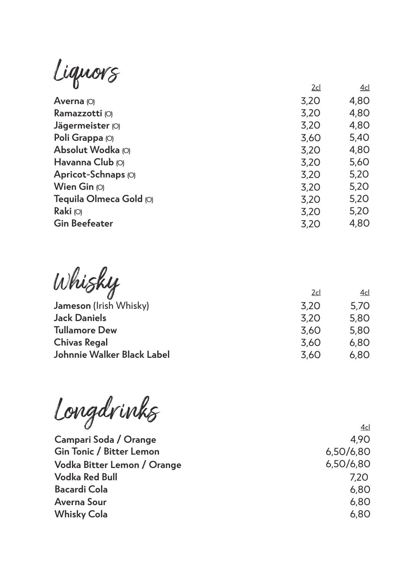Liquors 20 accessors 20 accessors 20 accessors 20 accessors 20 accessors 20 accessors 20 accessors 20 accessor

|      | ᆇ    |
|------|------|
| 3,20 | 4,80 |
| 3,20 | 4,80 |
| 3,20 | 4,80 |
| 3,60 | 5,40 |
| 3,20 | 4,80 |
| 3,20 | 5,60 |
| 3,20 | 5,20 |
| 3,20 | 5,20 |
| 3,20 | 5,20 |
| 3,20 | 5,20 |
| 3,20 | 4,80 |
|      | ∠⊂   |

| Whisky                     | 2cl  | 4cl  |
|----------------------------|------|------|
| Jameson (Irish Whisky)     | 3,20 | 5,70 |
| <b>Jack Daniels</b>        | 3,20 | 5,80 |
| <b>Tullamore Dew</b>       | 3,60 | 5,80 |
| <b>Chivas Regal</b>        | 3,60 | 6,80 |
| Johnnie Walker Black Label | 3,60 | 6,80 |

Longdrinks

**Campari Soda / Orange Gin Tonic / Bitter Lemon Vodka Bitter Lemon / Orange Vodka Red Bull Bacardi Cola Averna Sour Whisky Cola**

4cl 4,90 6,50/6,80 6,50/6,80 7,20 6,80 6,80 6,80